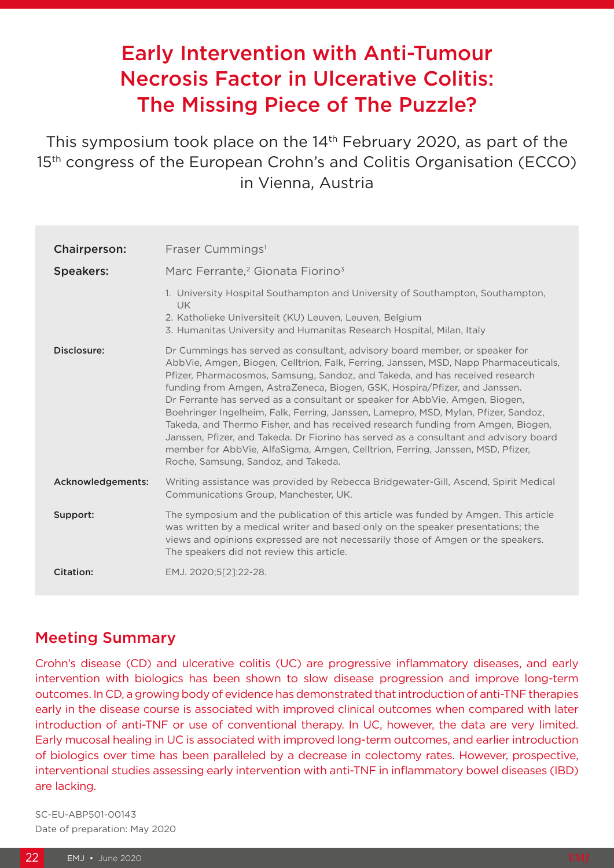# Early Intervention with Anti-Tumour Necrosis Factor in Ulcerative Colitis: The Missing Piece of The Puzzle?

This symposium took place on the 14<sup>th</sup> February 2020, as part of the 15<sup>th</sup> congress of the European Crohn's and Colitis Organisation (ECCO) in Vienna, Austria

| Chairperson:      | Fraser Cummings <sup>1</sup>                                                                                                                                                                                                                                                                                                                                                                                                                                                                                                                                                                                                                                                                                                                                                                                  |
|-------------------|---------------------------------------------------------------------------------------------------------------------------------------------------------------------------------------------------------------------------------------------------------------------------------------------------------------------------------------------------------------------------------------------------------------------------------------------------------------------------------------------------------------------------------------------------------------------------------------------------------------------------------------------------------------------------------------------------------------------------------------------------------------------------------------------------------------|
| <b>Speakers:</b>  | Marc Ferrante, <sup>2</sup> Gionata Fiorino <sup>3</sup>                                                                                                                                                                                                                                                                                                                                                                                                                                                                                                                                                                                                                                                                                                                                                      |
|                   | 1. University Hospital Southampton and University of Southampton, Southampton,<br><b>UK</b><br>2. Katholieke Universiteit (KU) Leuven, Leuven, Belgium<br>3. Humanitas University and Humanitas Research Hospital, Milan, Italy                                                                                                                                                                                                                                                                                                                                                                                                                                                                                                                                                                               |
| Disclosure:       | Dr Cummings has served as consultant, advisory board member, or speaker for<br>AbbVie, Amgen, Biogen, Celltrion, Falk, Ferring, Janssen, MSD, Napp Pharmaceuticals,<br>Pfizer, Pharmacosmos, Samsung, Sandoz, and Takeda, and has received research<br>funding from Amgen, AstraZeneca, Biogen, GSK, Hospira/Pfizer, and Janssen.<br>Dr Ferrante has served as a consultant or speaker for AbbVie, Amgen, Biogen,<br>Boehringer Ingelheim, Falk, Ferring, Janssen, Lamepro, MSD, Mylan, Pfizer, Sandoz,<br>Takeda, and Thermo Fisher, and has received research funding from Amgen, Biogen,<br>Janssen, Pfizer, and Takeda. Dr Fiorino has served as a consultant and advisory board<br>member for AbbVie, AlfaSigma, Amgen, Celltrion, Ferring, Janssen, MSD, Pfizer,<br>Roche, Samsung, Sandoz, and Takeda. |
| Acknowledgements: | Writing assistance was provided by Rebecca Bridgewater-Gill, Ascend, Spirit Medical<br>Communications Group, Manchester, UK.                                                                                                                                                                                                                                                                                                                                                                                                                                                                                                                                                                                                                                                                                  |
| Support:          | The symposium and the publication of this article was funded by Amgen. This article<br>was written by a medical writer and based only on the speaker presentations; the<br>views and opinions expressed are not necessarily those of Amgen or the speakers.<br>The speakers did not review this article.                                                                                                                                                                                                                                                                                                                                                                                                                                                                                                      |
| <b>Citation:</b>  | EMJ. 2020;5[2]:22-28.                                                                                                                                                                                                                                                                                                                                                                                                                                                                                                                                                                                                                                                                                                                                                                                         |

### Meeting Summary

Crohn's disease (CD) and ulcerative colitis (UC) are progressive inflammatory diseases, and early intervention with biologics has been shown to slow disease progression and improve long-term outcomes. In CD, a growing body of evidence has demonstrated that introduction of anti-TNF therapies early in the disease course is associated with improved clinical outcomes when compared with later introduction of anti-TNF or use of conventional therapy. In UC, however, the data are very limited. Early mucosal healing in UC is associated with improved long-term outcomes, and earlier introduction of biologics over time has been paralleled by a decrease in colectomy rates. However, prospective, interventional studies assessing early intervention with anti-TNF in inflammatory bowel diseases (IBD) are lacking.

SC-EU-ABP501-00143 Date of preparation: May 2020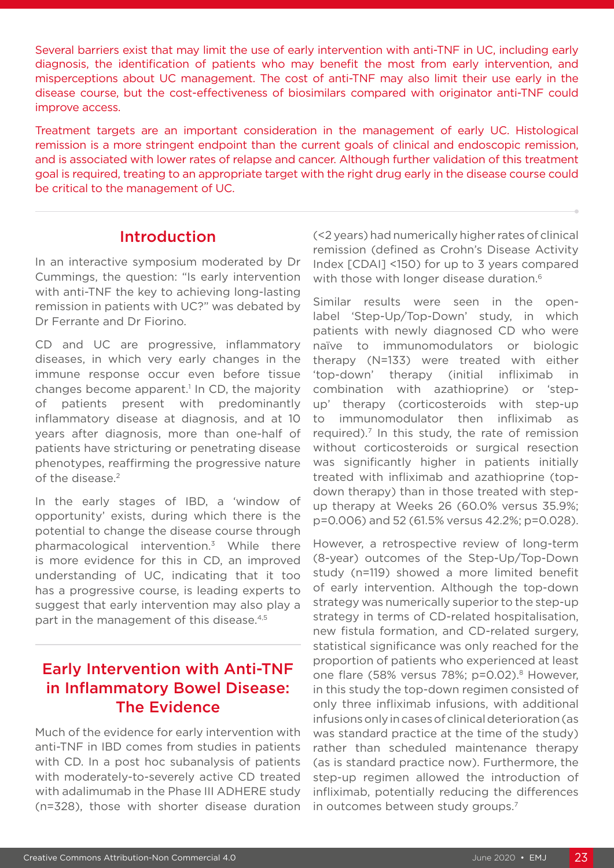Several barriers exist that may limit the use of early intervention with anti-TNF in UC, including early diagnosis, the identification of patients who may benefit the most from early intervention, and misperceptions about UC management. The cost of anti-TNF may also limit their use early in the disease course, but the cost-effectiveness of biosimilars compared with originator anti-TNF could improve access.

Treatment targets are an important consideration in the management of early UC. Histological remission is a more stringent endpoint than the current goals of clinical and endoscopic remission, and is associated with lower rates of relapse and cancer. Although further validation of this treatment goal is required, treating to an appropriate target with the right drug early in the disease course could be critical to the management of UC.

#### Introduction

In an interactive symposium moderated by Dr Cummings, the question: "Is early intervention with anti-TNF the key to achieving long-lasting remission in patients with UC?" was debated by Dr Ferrante and Dr Fiorino.

CD and UC are progressive, inflammatory diseases, in which very early changes in the immune response occur even before tissue changes become apparent.<sup>1</sup> In CD, the majority of patients present with predominantly inflammatory disease at diagnosis, and at 10 years after diagnosis, more than one-half of patients have stricturing or penetrating disease phenotypes, reaffirming the progressive nature of the disease.<sup>2</sup>

In the early stages of IBD, a 'window of opportunity' exists, during which there is the potential to change the disease course through pharmacological intervention.3 While there is more evidence for this in CD, an improved understanding of UC, indicating that it too has a progressive course, is leading experts to suggest that early intervention may also play a part in the management of this disease.<sup>4,5</sup>

### Early Intervention with Anti-TNF in Inflammatory Bowel Disease: The Evidence

Much of the evidence for early intervention with anti-TNF in IBD comes from studies in patients with CD. In a post hoc subanalysis of patients with moderately-to-severely active CD treated with adalimumab in the Phase III ADHERE study (n=328), those with shorter disease duration

(<2 years) had numerically higher rates of clinical remission (defined as Crohn's Disease Activity Index [CDAI] <150) for up to 3 years compared with those with longer disease duration.<sup>6</sup>

Similar results were seen in the openlabel 'Step-Up/Top-Down' study, in which patients with newly diagnosed CD who were naïve to immunomodulators or biologic therapy (N=133) were treated with either 'top-down' therapy (initial infliximab in combination with azathioprine) or 'stepup' therapy (corticosteroids with step-up to immunomodulator then infliximab as required).7 In this study, the rate of remission without corticosteroids or surgical resection was significantly higher in patients initially treated with infliximab and azathioprine (topdown therapy) than in those treated with stepup therapy at Weeks 26 (60.0% versus 35.9%; p=0.006) and 52 (61.5% versus 42.2%; p=0.028).

However, a retrospective review of long-term (8-year) outcomes of the Step-Up/Top-Down study (n=119) showed a more limited benefit of early intervention. Although the top-down strategy was numerically superior to the step-up strategy in terms of CD-related hospitalisation, new fistula formation, and CD-related surgery, statistical significance was only reached for the proportion of patients who experienced at least one flare (58% versus 78%; p=0.02).<sup>8</sup> However, in this study the top-down regimen consisted of only three infliximab infusions, with additional infusions only in cases of clinical deterioration (as was standard practice at the time of the study) rather than scheduled maintenance therapy (as is standard practice now). Furthermore, the step-up regimen allowed the introduction of infliximab, potentially reducing the differences in outcomes between study groups.7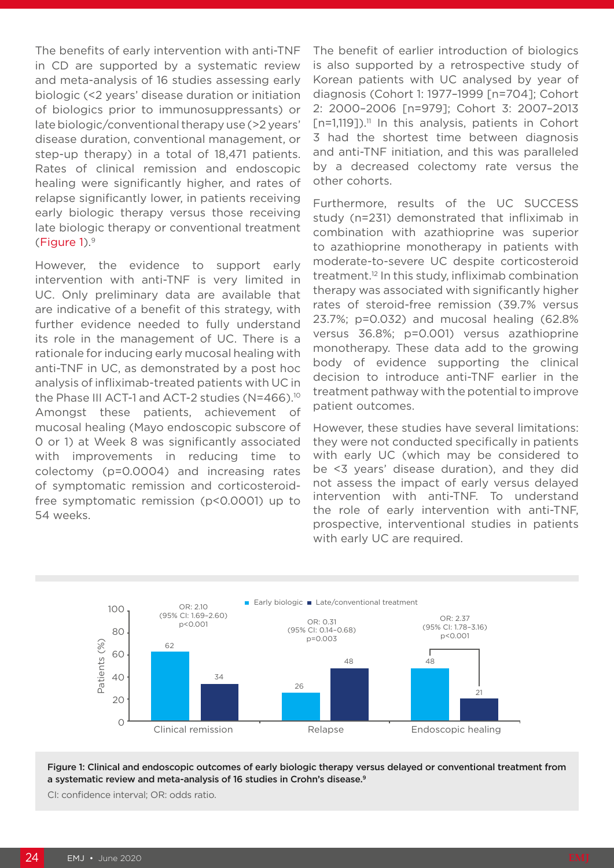The benefits of early intervention with anti-TNF in CD are supported by a systematic review and meta-analysis of 16 studies assessing early biologic (<2 years' disease duration or initiation of biologics prior to immunosuppressants) or late biologic/conventional therapy use (>2 years' disease duration, conventional management, or step-up therapy) in a total of 18,471 patients. Rates of clinical remission and endoscopic healing were significantly higher, and rates of relapse significantly lower, in patients receiving early biologic therapy versus those receiving late biologic therapy or conventional treatment (Figure 1).9

However, the evidence to support early intervention with anti-TNF is very limited in UC. Only preliminary data are available that are indicative of a benefit of this strategy, with further evidence needed to fully understand its role in the management of UC. There is a rationale for inducing early mucosal healing with anti-TNF in UC, as demonstrated by a post hoc analysis of infliximab-treated patients with UC in the Phase III ACT-1 and ACT-2 studies (N=466).10 Amongst these patients, achievement of mucosal healing (Mayo endoscopic subscore of 0 or 1) at Week 8 was significantly associated with improvements in reducing time to colectomy (p=0.0004) and increasing rates of symptomatic remission and corticosteroidfree symptomatic remission (p<0.0001) up to 54 weeks.

The benefit of earlier introduction of biologics is also supported by a retrospective study of Korean patients with UC analysed by year of diagnosis (Cohort 1: 1977–1999 [n=704]; Cohort 2: 2000–2006 [n=979]; Cohort 3: 2007–2013  $[n=1,119]$ ).<sup>11</sup> In this analysis, patients in Cohort 3 had the shortest time between diagnosis and anti-TNF initiation, and this was paralleled by a decreased colectomy rate versus the other cohorts.

Furthermore, results of the UC SUCCESS study (n=231) demonstrated that infliximab in combination with azathioprine was superior to azathioprine monotherapy in patients with moderate-to-severe UC despite corticosteroid treatment.12 In this study, infliximab combination therapy was associated with significantly higher rates of steroid-free remission (39.7% versus 23.7%; p=0.032) and mucosal healing (62.8% versus 36.8%; p=0.001) versus azathioprine monotherapy. These data add to the growing body of evidence supporting the clinical decision to introduce anti-TNF earlier in the treatment pathway with the potential to improve patient outcomes.

However, these studies have several limitations: they were not conducted specifically in patients with early UC (which may be considered to be <3 years' disease duration), and they did not assess the impact of early versus delayed intervention with anti-TNF. To understand the role of early intervention with anti-TNF, prospective, interventional studies in patients with early UC are required.



Figure 1: Clinical and endoscopic outcomes of early biologic therapy versus delayed or conventional treatment from a systematic review and meta-analysis of 16 studies in Crohn's disease.<sup>9</sup>

CI: confidence interval; OR: odds ratio.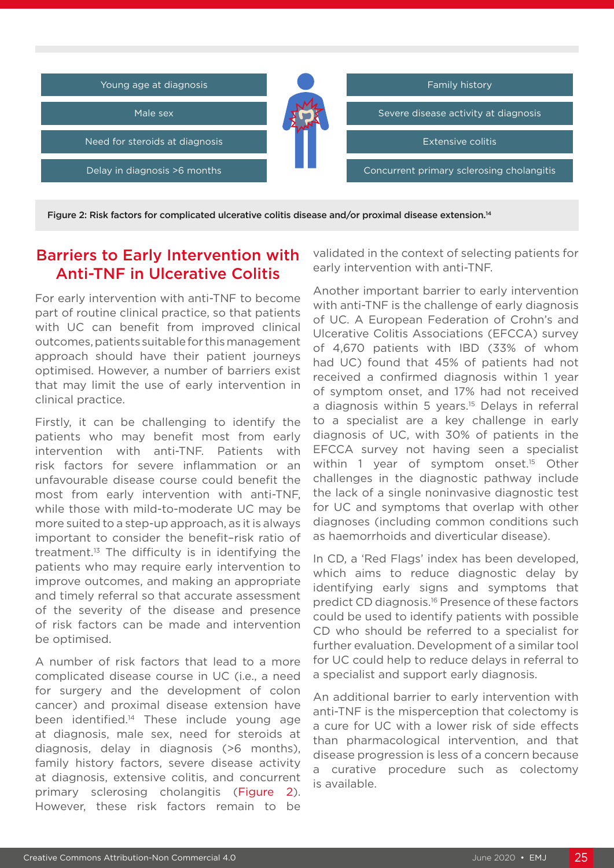

Figure 2: Risk factors for complicated ulcerative colitis disease and/or proximal disease extension.14

#### Barriers to Early Intervention with Anti-TNF in Ulcerative Colitis

For early intervention with anti-TNF to become part of routine clinical practice, so that patients with UC can benefit from improved clinical outcomes, patients suitable for this management approach should have their patient journeys optimised. However, a number of barriers exist that may limit the use of early intervention in clinical practice.

Firstly, it can be challenging to identify the patients who may benefit most from early intervention with anti-TNF. Patients with risk factors for severe inflammation or an unfavourable disease course could benefit the most from early intervention with anti-TNF, while those with mild-to-moderate UC may be more suited to a step-up approach, as it is always important to consider the benefit–risk ratio of treatment. $13$  The difficulty is in identifying the patients who may require early intervention to improve outcomes, and making an appropriate and timely referral so that accurate assessment of the severity of the disease and presence of risk factors can be made and intervention be optimised.

A number of risk factors that lead to a more complicated disease course in UC (i.e., a need for surgery and the development of colon cancer) and proximal disease extension have been identified.<sup>14</sup> These include young age at diagnosis, male sex, need for steroids at diagnosis, delay in diagnosis (>6 months), family history factors, severe disease activity at diagnosis, extensive colitis, and concurrent primary sclerosing cholangitis (Figure 2). However, these risk factors remain to be

validated in the context of selecting patients for early intervention with anti-TNF.

Another important barrier to early intervention with anti-TNF is the challenge of early diagnosis of UC. A European Federation of Crohn's and Ulcerative Colitis Associations (EFCCA) survey of 4,670 patients with IBD (33% of whom had UC) found that 45% of patients had not received a confirmed diagnosis within 1 year of symptom onset, and 17% had not received a diagnosis within 5 years.15 Delays in referral to a specialist are a key challenge in early diagnosis of UC, with 30% of patients in the EFCCA survey not having seen a specialist within 1 year of symptom onset.<sup>15</sup> Other challenges in the diagnostic pathway include the lack of a single noninvasive diagnostic test for UC and symptoms that overlap with other diagnoses (including common conditions such as haemorrhoids and diverticular disease).

In CD, a 'Red Flags' index has been developed, which aims to reduce diagnostic delay by identifying early signs and symptoms that predict CD diagnosis.<sup>16</sup> Presence of these factors could be used to identify patients with possible CD who should be referred to a specialist for further evaluation. Development of a similar tool for UC could help to reduce delays in referral to a specialist and support early diagnosis.

An additional barrier to early intervention with anti-TNF is the misperception that colectomy is a cure for UC with a lower risk of side effects than pharmacological intervention, and that disease progression is less of a concern because a curative procedure such as colectomy is available.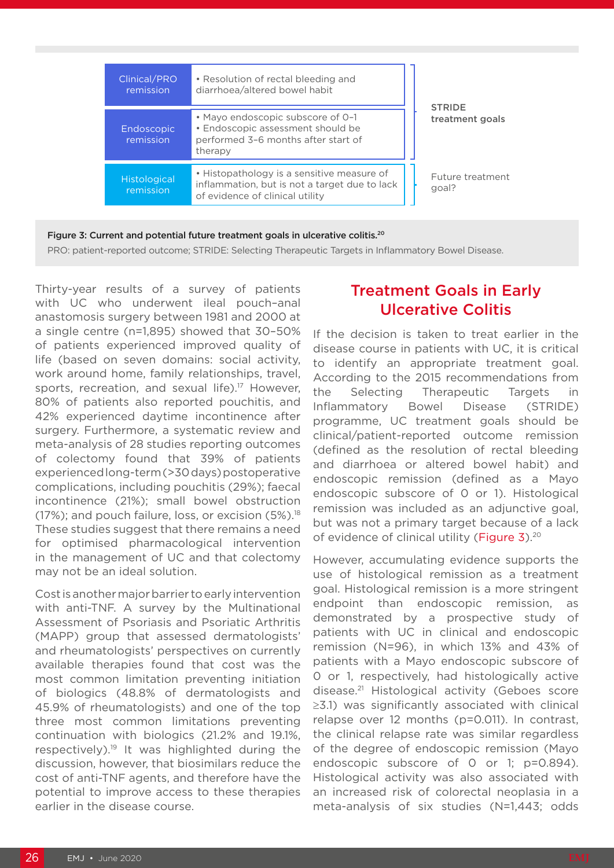| Clinical/PRO<br>remission        | • Resolution of rectal bleeding and<br>diarrhoea/altered bowel habit                                                           | <b>STRIDE</b>             |
|----------------------------------|--------------------------------------------------------------------------------------------------------------------------------|---------------------------|
| Endoscopic<br>remission          | • Mayo endoscopic subscore of 0-1<br>• Endoscopic assessment should be<br>performed 3-6 months after start of<br>therapy       | treatment goals           |
| <b>Histological</b><br>remission | • Histopathology is a sensitive measure of<br>inflammation, but is not a target due to lack<br>of evidence of clinical utility | Future treatment<br>goal? |

Figure 3: Current and potential future treatment goals in ulcerative colitis.<sup>20</sup>

PRO: patient-reported outcome; STRIDE: Selecting Therapeutic Targets in Inflammatory Bowel Disease.

Thirty-year results of a survey of patients with UC who underwent ileal pouch–anal anastomosis surgery between 1981 and 2000 at a single centre (n=1,895) showed that 30–50% of patients experienced improved quality of life (based on seven domains: social activity, work around home, family relationships, travel, sports, recreation, and sexual life).<sup>17</sup> However, 80% of patients also reported pouchitis, and 42% experienced daytime incontinence after surgery. Furthermore, a systematic review and meta-analysis of 28 studies reporting outcomes of colectomy found that 39% of patients experienced long-term (>30 days) postoperative complications, including pouchitis (29%); faecal incontinence (21%); small bowel obstruction  $(17%)$ ; and pouch failure, loss, or excision  $(5%)$ .<sup>18</sup> These studies suggest that there remains a need for optimised pharmacological intervention in the management of UC and that colectomy may not be an ideal solution.

Cost is another major barrier to early intervention with anti-TNF. A survey by the Multinational Assessment of Psoriasis and Psoriatic Arthritis (MAPP) group that assessed dermatologists' and rheumatologists' perspectives on currently available therapies found that cost was the most common limitation preventing initiation of biologics (48.8% of dermatologists and 45.9% of rheumatologists) and one of the top three most common limitations preventing continuation with biologics (21.2% and 19.1%, respectively).19 It was highlighted during the discussion, however, that biosimilars reduce the cost of anti-TNF agents, and therefore have the potential to improve access to these therapies earlier in the disease course.

## Treatment Goals in Early Ulcerative Colitis

If the decision is taken to treat earlier in the disease course in patients with UC, it is critical to identify an appropriate treatment goal. According to the 2015 recommendations from the Selecting Therapeutic Targets in Inflammatory Bowel Disease (STRIDE) programme, UC treatment goals should be clinical/patient-reported outcome remission (defined as the resolution of rectal bleeding and diarrhoea or altered bowel habit) and endoscopic remission (defined as a Mayo endoscopic subscore of 0 or 1). Histological remission was included as an adjunctive goal, but was not a primary target because of a lack of evidence of clinical utility (Figure 3).20

However, accumulating evidence supports the use of histological remission as a treatment goal. Histological remission is a more stringent endpoint than endoscopic remission, as demonstrated by a prospective study of patients with UC in clinical and endoscopic remission (N=96), in which 13% and 43% of patients with a Mayo endoscopic subscore of 0 or 1, respectively, had histologically active disease.21 Histological activity (Geboes score ≥3.1) was significantly associated with clinical relapse over 12 months (p=0.011). In contrast, the clinical relapse rate was similar regardless of the degree of endoscopic remission (Mayo endoscopic subscore of 0 or 1; p=0.894). Histological activity was also associated with an increased risk of colorectal neoplasia in a meta-analysis of six studies (N=1,443; odds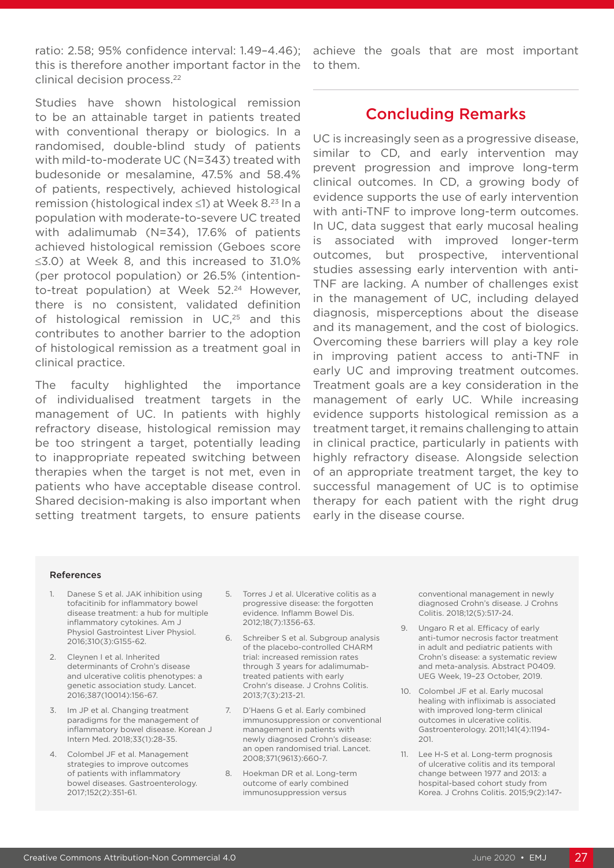ratio: 2.58; 95% confidence interval: 1.49–4.46); this is therefore another important factor in the clinical decision process.22

Studies have shown histological remission to be an attainable target in patients treated with conventional therapy or biologics. In a randomised, double-blind study of patients with mild-to-moderate UC (N=343) treated with budesonide or mesalamine, 47.5% and 58.4% of patients, respectively, achieved histological remission (histological index ≤1) at Week 8.23 In a population with moderate-to-severe UC treated with adalimumab (N=34), 17.6% of patients achieved histological remission (Geboes score ≤3.0) at Week 8, and this increased to 31.0% (per protocol population) or 26.5% (intentionto-treat population) at Week 52.<sup>24</sup> However, there is no consistent, validated definition of histological remission in  $UC<sub>,25</sub>$  and this contributes to another barrier to the adoption of histological remission as a treatment goal in clinical practice.

The faculty highlighted the importance of individualised treatment targets in the management of UC. In patients with highly refractory disease, histological remission may be too stringent a target, potentially leading to inappropriate repeated switching between therapies when the target is not met, even in patients who have acceptable disease control. Shared decision-making is also important when setting treatment targets, to ensure patients

achieve the goals that are most important to them.

#### Concluding Remarks

UC is increasingly seen as a progressive disease, similar to CD, and early intervention may prevent progression and improve long-term clinical outcomes. In CD, a growing body of evidence supports the use of early intervention with anti-TNF to improve long-term outcomes. In UC, data suggest that early mucosal healing is associated with improved longer-term outcomes, but prospective, interventional studies assessing early intervention with anti-TNF are lacking. A number of challenges exist in the management of UC, including delayed diagnosis, misperceptions about the disease and its management, and the cost of biologics. Overcoming these barriers will play a key role in improving patient access to anti-TNF in early UC and improving treatment outcomes. Treatment goals are a key consideration in the management of early UC. While increasing evidence supports histological remission as a treatment target, it remains challenging to attain in clinical practice, particularly in patients with highly refractory disease. Alongside selection of an appropriate treatment target, the key to successful management of UC is to optimise therapy for each patient with the right drug early in the disease course.

#### References

- 1. Danese S et al. JAK inhibition using tofacitinib for inflammatory bowel disease treatment: a hub for multiple inflammatory cytokines. Am J Physiol Gastrointest Liver Physiol. 2016;310(3):G155-62.
- 2. Cleynen I et al. Inherited determinants of Crohn's disease and ulcerative colitis phenotypes: a genetic association study. Lancet. 2016;387(10014):156-67.
- 3. Im JP et al. Changing treatment paradigms for the management of inflammatory bowel disease. Korean J Intern Med. 2018;33(1):28-35.
- 4. Colombel JF et al. Management strategies to improve outcomes of patients with inflammatory bowel diseases. Gastroenterology. 2017;152(2):351-61.
- 5. Torres J et al. Ulcerative colitis as a progressive disease: the forgotten evidence. Inflamm Bowel Dis. 2012;18(7):1356-63.
- 6. Schreiber S et al. Subgroup analysis of the placebo-controlled CHARM trial: increased remission rates through 3 years for adalimumabtreated patients with early Crohn's disease. J Crohns Colitis. 2013;7(3):213-21.
- 7. D'Haens G et al. Early combined immunosuppression or conventional management in patients with newly diagnosed Crohn's disease: an open randomised trial. Lancet. 2008;371(9613):660-7.
- 8. Hoekman DR et al. Long-term outcome of early combined immunosuppression versus

conventional management in newly diagnosed Crohn's disease. J Crohns Colitis. 2018;12(5):517-24.

- 9. Ungaro R et al. Efficacy of early anti-tumor necrosis factor treatment in adult and pediatric patients with Crohn's disease: a systematic review and meta-analysis. Abstract P0409. UEG Week, 19–23 October, 2019.
- 10. Colombel JF et al. Early mucosal healing with infliximab is associated with improved long-term clinical outcomes in ulcerative colitis. Gastroenterology. 2011;141(4):1194- 201.
- 11. Lee H-S et al. Long-term prognosis of ulcerative colitis and its temporal change between 1977 and 2013: a hospital-based cohort study from Korea. J Crohns Colitis. 2015;9(2):147-